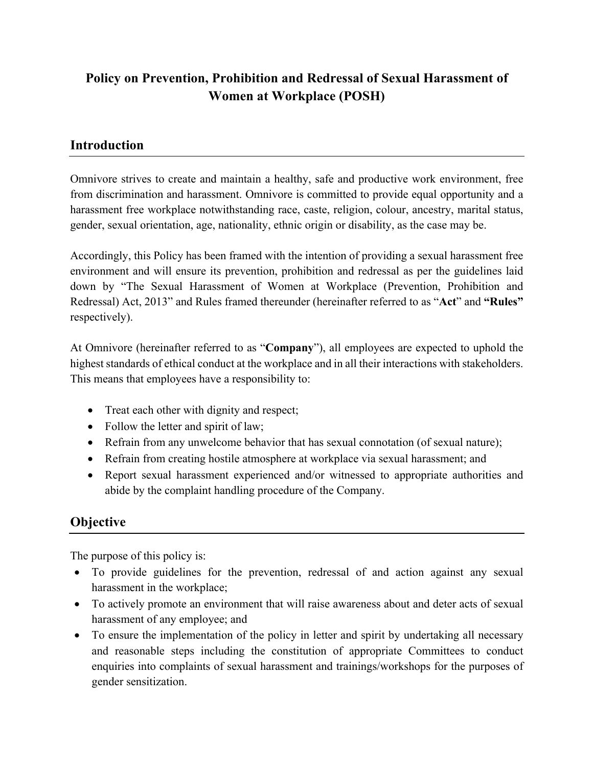# **Policy on Prevention, Prohibition and Redressal of Sexual Harassment of Women at Workplace (POSH)**

# **Introduction**

Omnivore strives to create and maintain a healthy, safe and productive work environment, free from discrimination and harassment. Omnivore is committed to provide equal opportunity and a harassment free workplace notwithstanding race, caste, religion, colour, ancestry, marital status, gender, sexual orientation, age, nationality, ethnic origin or disability, as the case may be.

Accordingly, this Policy has been framed with the intention of providing a sexual harassment free environment and will ensure its prevention, prohibition and redressal as per the guidelines laid down by "The Sexual Harassment of Women at Workplace (Prevention, Prohibition and Redressal) Act, 2013" and Rules framed thereunder (hereinafter referred to as "**Act**" and **"Rules"** respectively).

At Omnivore (hereinafter referred to as "**Company**"), all employees are expected to uphold the highest standards of ethical conduct at the workplace and in all their interactions with stakeholders. This means that employees have a responsibility to:

- Treat each other with dignity and respect;
- Follow the letter and spirit of law;
- Refrain from any unwelcome behavior that has sexual connotation (of sexual nature);
- Refrain from creating hostile atmosphere at workplace via sexual harassment; and
- Report sexual harassment experienced and/or witnessed to appropriate authorities and abide by the complaint handling procedure of the Company.

# **Objective**

The purpose of this policy is:

- To provide guidelines for the prevention, redressal of and action against any sexual harassment in the workplace;
- To actively promote an environment that will raise awareness about and deter acts of sexual harassment of any employee; and
- To ensure the implementation of the policy in letter and spirit by undertaking all necessary and reasonable steps including the constitution of appropriate Committees to conduct enquiries into complaints of sexual harassment and trainings/workshops for the purposes of gender sensitization.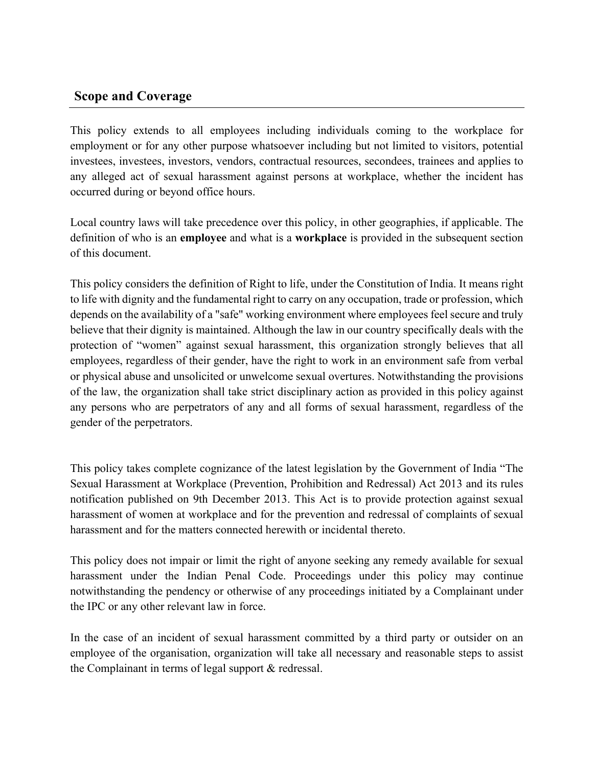## **Scope and Coverage**

This policy extends to all employees including individuals coming to the workplace for employment or for any other purpose whatsoever including but not limited to visitors, potential investees, investees, investors, vendors, contractual resources, secondees, trainees and applies to any alleged act of sexual harassment against persons at workplace, whether the incident has occurred during or beyond office hours.

Local country laws will take precedence over this policy, in other geographies, if applicable. The definition of who is an **employee** and what is a **workplace** is provided in the subsequent section of this document.

This policy considers the definition of Right to life, under the Constitution of India. It means right to life with dignity and the fundamental right to carry on any occupation, trade or profession, which depends on the availability of a "safe" working environment where employees feel secure and truly believe that their dignity is maintained. Although the law in our country specifically deals with the protection of "women" against sexual harassment, this organization strongly believes that all employees, regardless of their gender, have the right to work in an environment safe from verbal or physical abuse and unsolicited or unwelcome sexual overtures. Notwithstanding the provisions of the law, the organization shall take strict disciplinary action as provided in this policy against any persons who are perpetrators of any and all forms of sexual harassment, regardless of the gender of the perpetrators.

This policy takes complete cognizance of the latest legislation by the Government of India "The Sexual Harassment at Workplace (Prevention, Prohibition and Redressal) Act 2013 and its rules notification published on 9th December 2013. This Act is to provide protection against sexual harassment of women at workplace and for the prevention and redressal of complaints of sexual harassment and for the matters connected herewith or incidental thereto.

This policy does not impair or limit the right of anyone seeking any remedy available for sexual harassment under the Indian Penal Code. Proceedings under this policy may continue notwithstanding the pendency or otherwise of any proceedings initiated by a Complainant under the IPC or any other relevant law in force.

In the case of an incident of sexual harassment committed by a third party or outsider on an employee of the organisation, organization will take all necessary and reasonable steps to assist the Complainant in terms of legal support & redressal.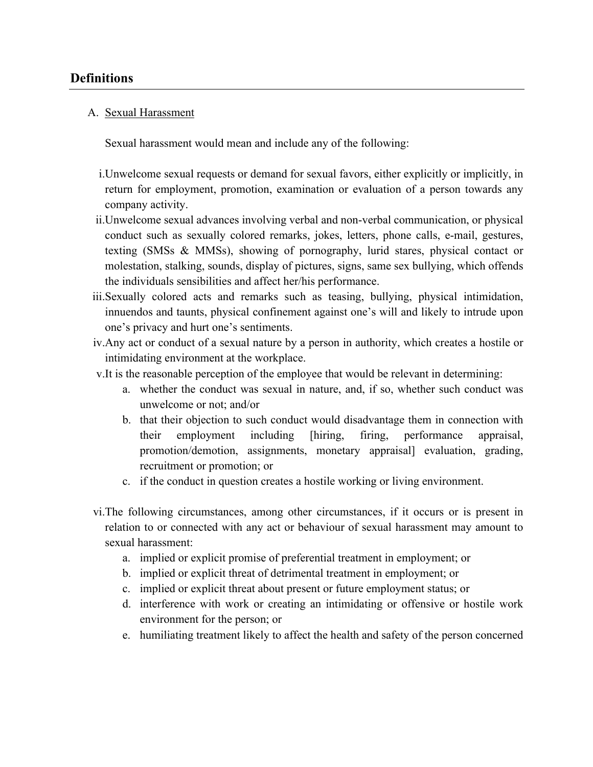# **Definitions**

#### A. Sexual Harassment

Sexual harassment would mean and include any of the following:

- i.Unwelcome sexual requests or demand for sexual favors, either explicitly or implicitly, in return for employment, promotion, examination or evaluation of a person towards any company activity.
- ii.Unwelcome sexual advances involving verbal and non-verbal communication, or physical conduct such as sexually colored remarks, jokes, letters, phone calls, e-mail, gestures, texting (SMSs & MMSs), showing of pornography, lurid stares, physical contact or molestation, stalking, sounds, display of pictures, signs, same sex bullying, which offends the individuals sensibilities and affect her/his performance.
- iii.Sexually colored acts and remarks such as teasing, bullying, physical intimidation, innuendos and taunts, physical confinement against one's will and likely to intrude upon one's privacy and hurt one's sentiments.
- iv.Any act or conduct of a sexual nature by a person in authority, which creates a hostile or intimidating environment at the workplace.
- v.It is the reasonable perception of the employee that would be relevant in determining:
	- a. whether the conduct was sexual in nature, and, if so, whether such conduct was unwelcome or not; and/or
	- b. that their objection to such conduct would disadvantage them in connection with their employment including [hiring, firing, performance appraisal, promotion/demotion, assignments, monetary appraisal] evaluation, grading, recruitment or promotion; or
	- c. if the conduct in question creates a hostile working or living environment.
- vi.The following circumstances, among other circumstances, if it occurs or is present in relation to or connected with any act or behaviour of sexual harassment may amount to sexual harassment:
	- a. implied or explicit promise of preferential treatment in employment; or
	- b. implied or explicit threat of detrimental treatment in employment; or
	- c. implied or explicit threat about present or future employment status; or
	- d. interference with work or creating an intimidating or offensive or hostile work environment for the person; or
	- e. humiliating treatment likely to affect the health and safety of the person concerned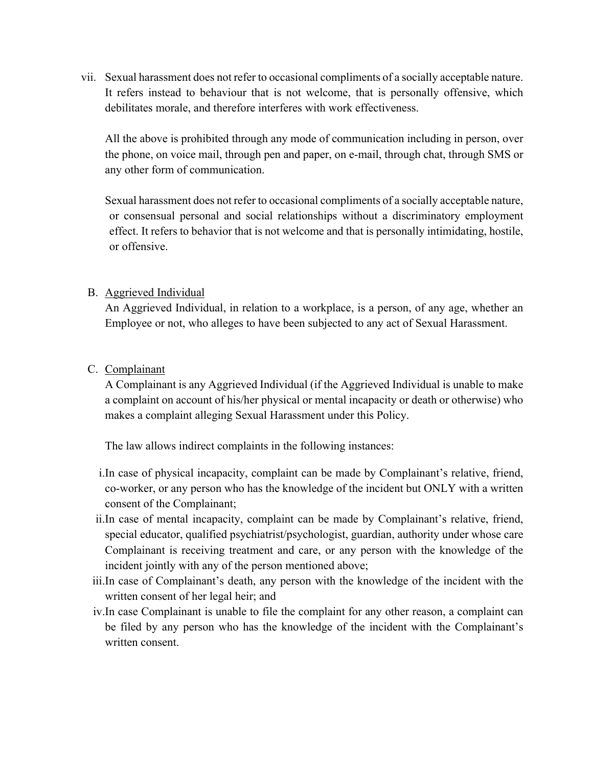vii. Sexual harassment does not refer to occasional compliments of a socially acceptable nature. It refers instead to behaviour that is not welcome, that is personally offensive, which debilitates morale, and therefore interferes with work effectiveness.

All the above is prohibited through any mode of communication including in person, over the phone, on voice mail, through pen and paper, on e-mail, through chat, through SMS or any other form of communication.

Sexual harassment does not refer to occasional compliments of a socially acceptable nature, or consensual personal and social relationships without a discriminatory employment effect. It refers to behavior that is not welcome and that is personally intimidating, hostile, or offensive.

#### B. Aggrieved Individual

An Aggrieved Individual, in relation to a workplace, is a person, of any age, whether an Employee or not, who alleges to have been subjected to any act of Sexual Harassment.

#### C. Complainant

A Complainant is any Aggrieved Individual (if the Aggrieved Individual is unable to make a complaint on account of his/her physical or mental incapacity or death or otherwise) who makes a complaint alleging Sexual Harassment under this Policy.

The law allows indirect complaints in the following instances:

- i.In case of physical incapacity, complaint can be made by Complainant's relative, friend, co-worker, or any person who has the knowledge of the incident but ONLY with a written consent of the Complainant;
- ii.In case of mental incapacity, complaint can be made by Complainant's relative, friend, special educator, qualified psychiatrist/psychologist, guardian, authority under whose care Complainant is receiving treatment and care, or any person with the knowledge of the incident jointly with any of the person mentioned above;
- iii.In case of Complainant's death, any person with the knowledge of the incident with the written consent of her legal heir; and
- iv.In case Complainant is unable to file the complaint for any other reason, a complaint can be filed by any person who has the knowledge of the incident with the Complainant's written consent.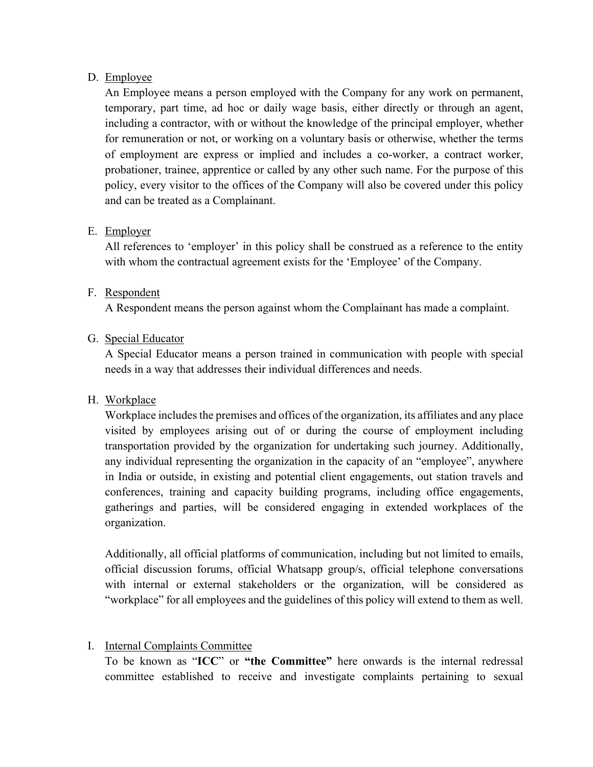#### D. Employee

An Employee means a person employed with the Company for any work on permanent, temporary, part time, ad hoc or daily wage basis, either directly or through an agent, including a contractor, with or without the knowledge of the principal employer, whether for remuneration or not, or working on a voluntary basis or otherwise, whether the terms of employment are express or implied and includes a co-worker, a contract worker, probationer, trainee, apprentice or called by any other such name. For the purpose of this policy, every visitor to the offices of the Company will also be covered under this policy and can be treated as a Complainant.

#### E. Employer

All references to 'employer' in this policy shall be construed as a reference to the entity with whom the contractual agreement exists for the 'Employee' of the Company.

#### F. Respondent

A Respondent means the person against whom the Complainant has made a complaint.

#### G. Special Educator

A Special Educator means a person trained in communication with people with special needs in a way that addresses their individual differences and needs.

### H. Workplace

Workplace includes the premises and offices of the organization, its affiliates and any place visited by employees arising out of or during the course of employment including transportation provided by the organization for undertaking such journey. Additionally, any individual representing the organization in the capacity of an "employee", anywhere in India or outside, in existing and potential client engagements, out station travels and conferences, training and capacity building programs, including office engagements, gatherings and parties, will be considered engaging in extended workplaces of the organization.

Additionally, all official platforms of communication, including but not limited to emails, official discussion forums, official Whatsapp group/s, official telephone conversations with internal or external stakeholders or the organization, will be considered as "workplace" for all employees and the guidelines of this policy will extend to them as well.

### I. Internal Complaints Committee

To be known as "**ICC**" or **"the Committee"** here onwards is the internal redressal committee established to receive and investigate complaints pertaining to sexual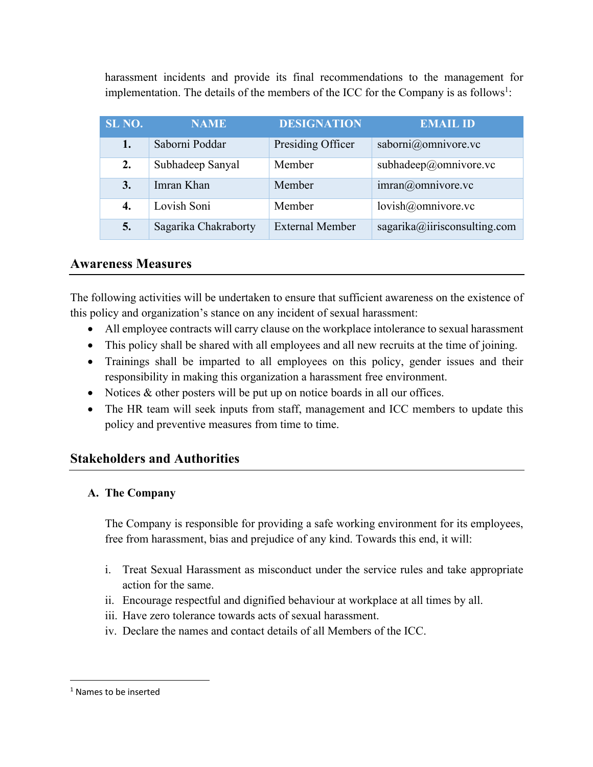harassment incidents and provide its final recommendations to the management for implementation. The details of the members of the ICC for the Company is as follows<sup>1</sup>:

| SL NO. | <b>NAME</b>          | <b>DESIGNATION</b>     | <b>EMAIL ID</b>              |
|--------|----------------------|------------------------|------------------------------|
| 1.     | Saborni Poddar       | Presiding Officer      | saborni@omnivore.vc          |
| 2.     | Subhadeep Sanyal     | Member                 | subhadeep@omnivore.vc        |
| 3.     | Imran Khan           | Member                 | $imran@$ omnivore.vc         |
| 4.     | Lovish Soni          | Member                 | lovish@omnivore.vc           |
| 5.     | Sagarika Chakraborty | <b>External Member</b> | sagarika@iirisconsulting.com |

#### **Awareness Measures**

The following activities will be undertaken to ensure that sufficient awareness on the existence of this policy and organization's stance on any incident of sexual harassment:

- All employee contracts will carry clause on the workplace intolerance to sexual harassment
- This policy shall be shared with all employees and all new recruits at the time of joining.
- Trainings shall be imparted to all employees on this policy, gender issues and their responsibility in making this organization a harassment free environment.
- Notices & other posters will be put up on notice boards in all our offices.
- The HR team will seek inputs from staff, management and ICC members to update this policy and preventive measures from time to time.

### **Stakeholders and Authorities**

#### **A. The Company**

The Company is responsible for providing a safe working environment for its employees, free from harassment, bias and prejudice of any kind. Towards this end, it will:

- i. Treat Sexual Harassment as misconduct under the service rules and take appropriate action for the same.
- ii. Encourage respectful and dignified behaviour at workplace at all times by all.
- iii. Have zero tolerance towards acts of sexual harassment.
- iv. Declare the names and contact details of all Members of the ICC.

<sup>1</sup> Names to be inserted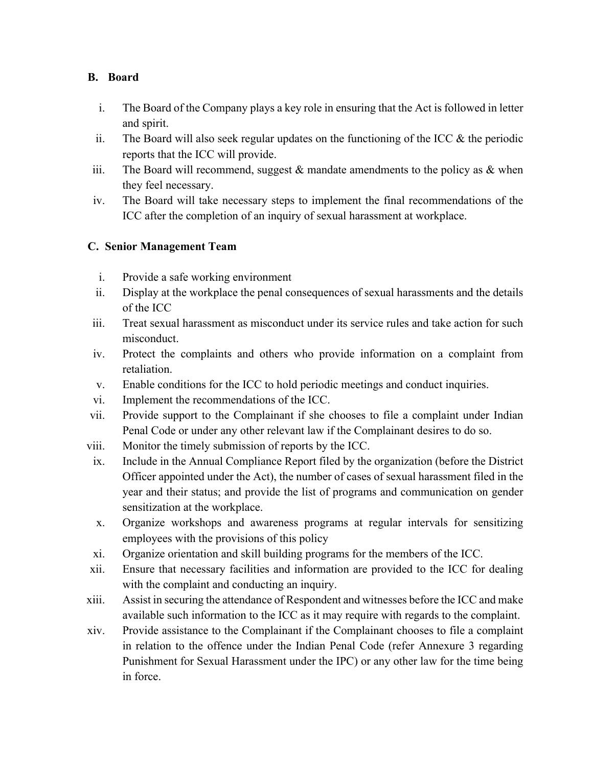#### **B. Board**

- i. The Board of the Company plays a key role in ensuring that the Act is followed in letter and spirit.
- ii. The Board will also seek regular updates on the functioning of the ICC  $\&$  the periodic reports that the ICC will provide.
- iii. The Board will recommend, suggest  $\&$  mandate amendments to the policy as  $\&$  when they feel necessary.
- iv. The Board will take necessary steps to implement the final recommendations of the ICC after the completion of an inquiry of sexual harassment at workplace.

#### **C. Senior Management Team**

- i. Provide a safe working environment
- ii. Display at the workplace the penal consequences of sexual harassments and the details of the ICC
- iii. Treat sexual harassment as misconduct under its service rules and take action for such misconduct.
- iv. Protect the complaints and others who provide information on a complaint from retaliation.
- v. Enable conditions for the ICC to hold periodic meetings and conduct inquiries.
- vi. Implement the recommendations of the ICC.
- vii. Provide support to the Complainant if she chooses to file a complaint under Indian Penal Code or under any other relevant law if the Complainant desires to do so.
- viii. Monitor the timely submission of reports by the ICC.
- ix. Include in the Annual Compliance Report filed by the organization (before the District Officer appointed under the Act), the number of cases of sexual harassment filed in the year and their status; and provide the list of programs and communication on gender sensitization at the workplace.
- x. Organize workshops and awareness programs at regular intervals for sensitizing employees with the provisions of this policy
- xi. Organize orientation and skill building programs for the members of the ICC.
- xii. Ensure that necessary facilities and information are provided to the ICC for dealing with the complaint and conducting an inquiry.
- xiii. Assist in securing the attendance of Respondent and witnesses before the ICC and make available such information to the ICC as it may require with regards to the complaint.
- xiv. Provide assistance to the Complainant if the Complainant chooses to file a complaint in relation to the offence under the Indian Penal Code (refer Annexure 3 regarding Punishment for Sexual Harassment under the IPC) or any other law for the time being in force.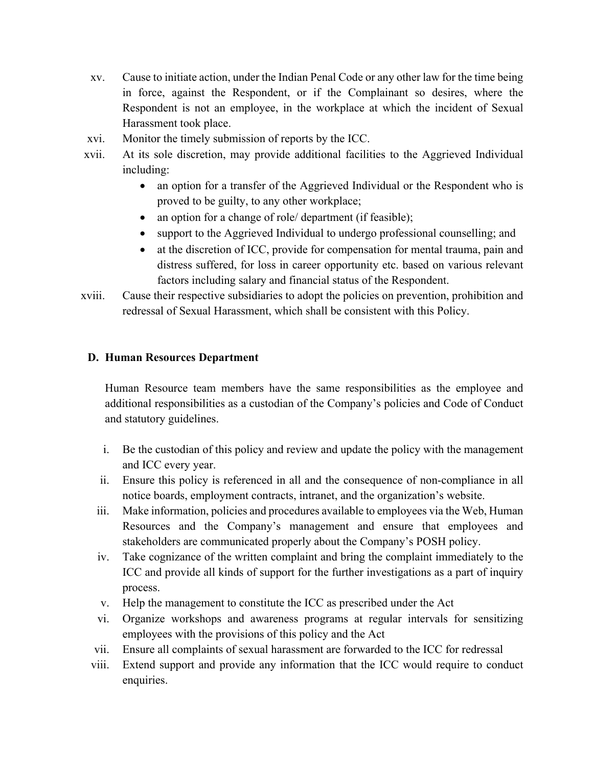- xv. Cause to initiate action, under the Indian Penal Code or any other law for the time being in force, against the Respondent, or if the Complainant so desires, where the Respondent is not an employee, in the workplace at which the incident of Sexual Harassment took place.
- xvi. Monitor the timely submission of reports by the ICC.
- xvii. At its sole discretion, may provide additional facilities to the Aggrieved Individual including:
	- an option for a transfer of the Aggrieved Individual or the Respondent who is proved to be guilty, to any other workplace;
	- an option for a change of role/ department (if feasible);
	- support to the Aggrieved Individual to undergo professional counselling; and
	- at the discretion of ICC, provide for compensation for mental trauma, pain and distress suffered, for loss in career opportunity etc. based on various relevant factors including salary and financial status of the Respondent.
- xviii. Cause their respective subsidiaries to adopt the policies on prevention, prohibition and redressal of Sexual Harassment, which shall be consistent with this Policy.

#### **D. Human Resources Department**

Human Resource team members have the same responsibilities as the employee and additional responsibilities as a custodian of the Company's policies and Code of Conduct and statutory guidelines.

- i. Be the custodian of this policy and review and update the policy with the management and ICC every year.
- ii. Ensure this policy is referenced in all and the consequence of non-compliance in all notice boards, employment contracts, intranet, and the organization's website.
- iii. Make information, policies and procedures available to employees via the Web, Human Resources and the Company's management and ensure that employees and stakeholders are communicated properly about the Company's POSH policy.
- iv. Take cognizance of the written complaint and bring the complaint immediately to the ICC and provide all kinds of support for the further investigations as a part of inquiry process.
- v. Help the management to constitute the ICC as prescribed under the Act
- vi. Organize workshops and awareness programs at regular intervals for sensitizing employees with the provisions of this policy and the Act
- vii. Ensure all complaints of sexual harassment are forwarded to the ICC for redressal
- viii. Extend support and provide any information that the ICC would require to conduct enquiries.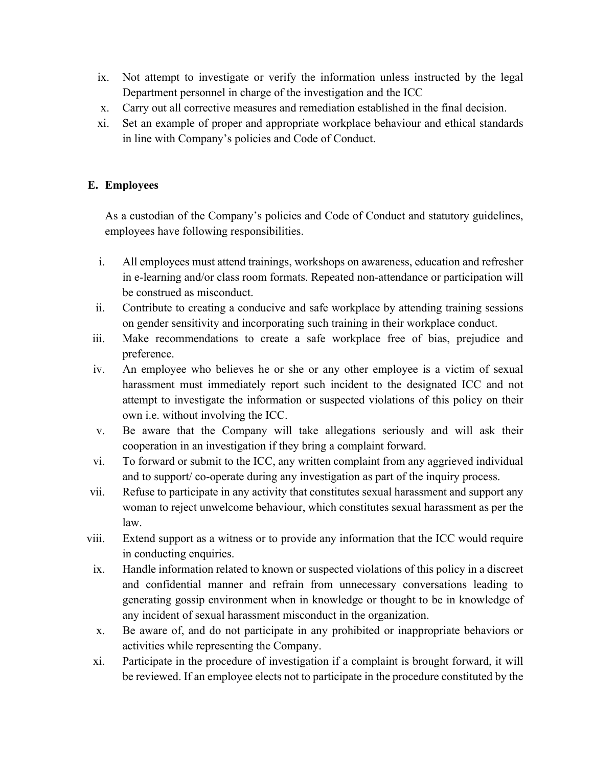- ix. Not attempt to investigate or verify the information unless instructed by the legal Department personnel in charge of the investigation and the ICC
- x. Carry out all corrective measures and remediation established in the final decision.
- xi. Set an example of proper and appropriate workplace behaviour and ethical standards in line with Company's policies and Code of Conduct.

#### **E. Employees**

As a custodian of the Company's policies and Code of Conduct and statutory guidelines, employees have following responsibilities.

- i. All employees must attend trainings, workshops on awareness, education and refresher in e-learning and/or class room formats. Repeated non-attendance or participation will be construed as misconduct.
- ii. Contribute to creating a conducive and safe workplace by attending training sessions on gender sensitivity and incorporating such training in their workplace conduct.
- iii. Make recommendations to create a safe workplace free of bias, prejudice and preference.
- iv. An employee who believes he or she or any other employee is a victim of sexual harassment must immediately report such incident to the designated ICC and not attempt to investigate the information or suspected violations of this policy on their own i.e. without involving the ICC.
- v. Be aware that the Company will take allegations seriously and will ask their cooperation in an investigation if they bring a complaint forward.
- vi. To forward or submit to the ICC, any written complaint from any aggrieved individual and to support/ co-operate during any investigation as part of the inquiry process.
- vii. Refuse to participate in any activity that constitutes sexual harassment and support any woman to reject unwelcome behaviour, which constitutes sexual harassment as per the law.
- viii. Extend support as a witness or to provide any information that the ICC would require in conducting enquiries.
- ix. Handle information related to known or suspected violations of this policy in a discreet and confidential manner and refrain from unnecessary conversations leading to generating gossip environment when in knowledge or thought to be in knowledge of any incident of sexual harassment misconduct in the organization.
- x. Be aware of, and do not participate in any prohibited or inappropriate behaviors or activities while representing the Company.
- xi. Participate in the procedure of investigation if a complaint is brought forward, it will be reviewed. If an employee elects not to participate in the procedure constituted by the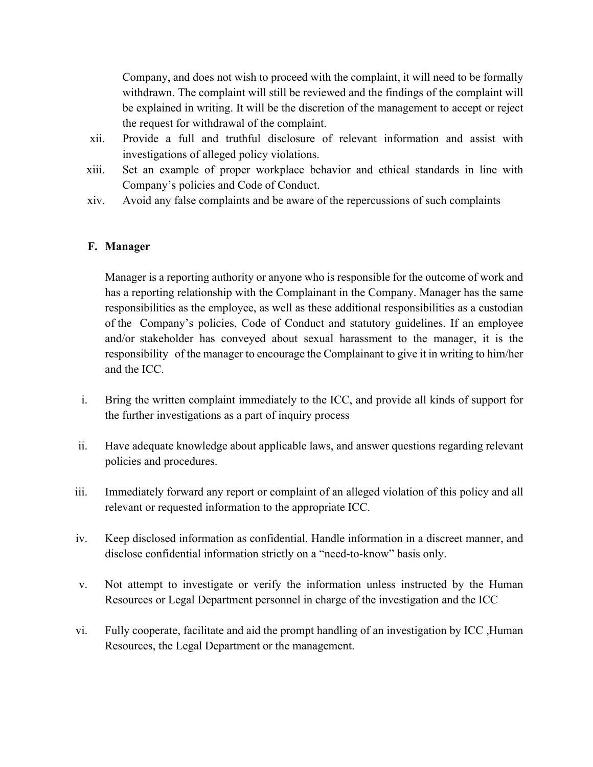Company, and does not wish to proceed with the complaint, it will need to be formally withdrawn. The complaint will still be reviewed and the findings of the complaint will be explained in writing. It will be the discretion of the management to accept or reject the request for withdrawal of the complaint.

- xii. Provide a full and truthful disclosure of relevant information and assist with investigations of alleged policy violations.
- xiii. Set an example of proper workplace behavior and ethical standards in line with Company's policies and Code of Conduct.
- xiv. Avoid any false complaints and be aware of the repercussions of such complaints

#### **F. Manager**

Manager is a reporting authority or anyone who is responsible for the outcome of work and has a reporting relationship with the Complainant in the Company. Manager has the same responsibilities as the employee, as well as these additional responsibilities as a custodian of the Company's policies, Code of Conduct and statutory guidelines. If an employee and/or stakeholder has conveyed about sexual harassment to the manager, it is the responsibility of the manager to encourage the Complainant to give it in writing to him/her and the ICC.

- i. Bring the written complaint immediately to the ICC, and provide all kinds of support for the further investigations as a part of inquiry process
- ii. Have adequate knowledge about applicable laws, and answer questions regarding relevant policies and procedures.
- iii. Immediately forward any report or complaint of an alleged violation of this policy and all relevant or requested information to the appropriate ICC.
- iv. Keep disclosed information as confidential. Handle information in a discreet manner, and disclose confidential information strictly on a "need-to-know" basis only.
- v. Not attempt to investigate or verify the information unless instructed by the Human Resources or Legal Department personnel in charge of the investigation and the ICC
- vi. Fully cooperate, facilitate and aid the prompt handling of an investigation by ICC ,Human Resources, the Legal Department or the management.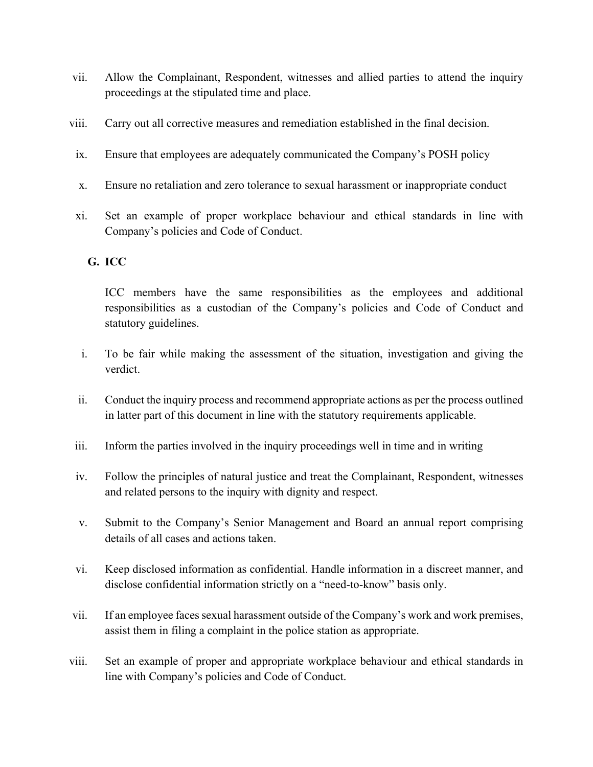- vii. Allow the Complainant, Respondent, witnesses and allied parties to attend the inquiry proceedings at the stipulated time and place.
- viii. Carry out all corrective measures and remediation established in the final decision.
- ix. Ensure that employees are adequately communicated the Company's POSH policy
- x. Ensure no retaliation and zero tolerance to sexual harassment or inappropriate conduct
- xi. Set an example of proper workplace behaviour and ethical standards in line with Company's policies and Code of Conduct.

#### **G. ICC**

ICC members have the same responsibilities as the employees and additional responsibilities as a custodian of the Company's policies and Code of Conduct and statutory guidelines.

- i. To be fair while making the assessment of the situation, investigation and giving the verdict.
- ii. Conduct the inquiry process and recommend appropriate actions as per the process outlined in latter part of this document in line with the statutory requirements applicable.
- iii. Inform the parties involved in the inquiry proceedings well in time and in writing
- iv. Follow the principles of natural justice and treat the Complainant, Respondent, witnesses and related persons to the inquiry with dignity and respect.
- v. Submit to the Company's Senior Management and Board an annual report comprising details of all cases and actions taken.
- vi. Keep disclosed information as confidential. Handle information in a discreet manner, and disclose confidential information strictly on a "need-to-know" basis only.
- vii. If an employee faces sexual harassment outside of the Company's work and work premises, assist them in filing a complaint in the police station as appropriate.
- viii. Set an example of proper and appropriate workplace behaviour and ethical standards in line with Company's policies and Code of Conduct.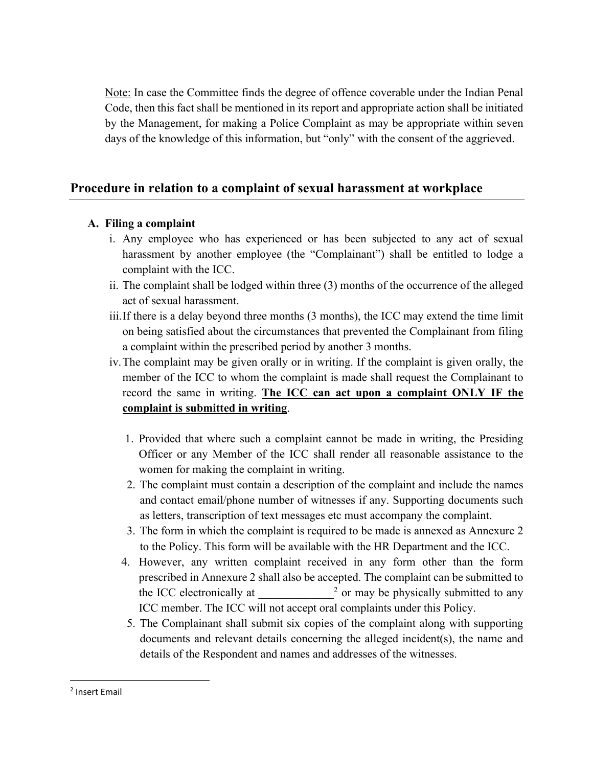Note: In case the Committee finds the degree of offence coverable under the Indian Penal Code, then this fact shall be mentioned in its report and appropriate action shall be initiated by the Management, for making a Police Complaint as may be appropriate within seven days of the knowledge of this information, but "only" with the consent of the aggrieved.

### **Procedure in relation to a complaint of sexual harassment at workplace**

#### **A. Filing a complaint**

- i. Any employee who has experienced or has been subjected to any act of sexual harassment by another employee (the "Complainant") shall be entitled to lodge a complaint with the ICC.
- ii. The complaint shall be lodged within three (3) months of the occurrence of the alleged act of sexual harassment.
- iii.If there is a delay beyond three months (3 months), the ICC may extend the time limit on being satisfied about the circumstances that prevented the Complainant from filing a complaint within the prescribed period by another 3 months.
- iv.The complaint may be given orally or in writing. If the complaint is given orally, the member of the ICC to whom the complaint is made shall request the Complainant to record the same in writing. **The ICC can act upon a complaint ONLY IF the complaint is submitted in writing**.
	- 1. Provided that where such a complaint cannot be made in writing, the Presiding Officer or any Member of the ICC shall render all reasonable assistance to the women for making the complaint in writing.
	- 2. The complaint must contain a description of the complaint and include the names and contact email/phone number of witnesses if any. Supporting documents such as letters, transcription of text messages etc must accompany the complaint.
	- 3. The form in which the complaint is required to be made is annexed as Annexure 2 to the Policy. This form will be available with the HR Department and the ICC.
	- 4. However, any written complaint received in any form other than the form prescribed in Annexure 2 shall also be accepted. The complaint can be submitted to the ICC electronically at  $\frac{2}{3}$  or may be physically submitted to any ICC member. The ICC will not accept oral complaints under this Policy.
	- 5. The Complainant shall submit six copies of the complaint along with supporting documents and relevant details concerning the alleged incident(s), the name and details of the Respondent and names and addresses of the witnesses.

<sup>2</sup> Insert Email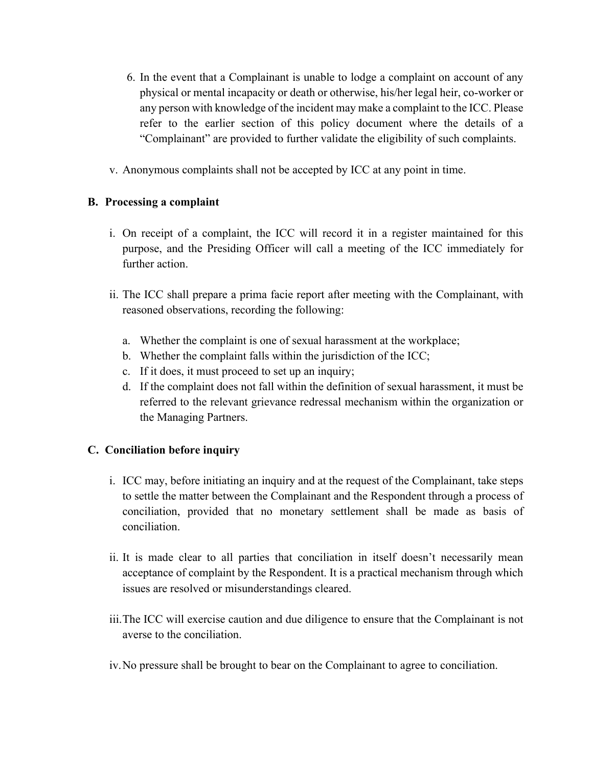- 6. In the event that a Complainant is unable to lodge a complaint on account of any physical or mental incapacity or death or otherwise, his/her legal heir, co-worker or any person with knowledge of the incident may make a complaint to the ICC. Please refer to the earlier section of this policy document where the details of a "Complainant" are provided to further validate the eligibility of such complaints.
- v. Anonymous complaints shall not be accepted by ICC at any point in time.

#### **B. Processing a complaint**

- i. On receipt of a complaint, the ICC will record it in a register maintained for this purpose, and the Presiding Officer will call a meeting of the ICC immediately for further action.
- ii. The ICC shall prepare a prima facie report after meeting with the Complainant, with reasoned observations, recording the following:
	- a. Whether the complaint is one of sexual harassment at the workplace;
	- b. Whether the complaint falls within the jurisdiction of the ICC;
	- c. If it does, it must proceed to set up an inquiry;
	- d. If the complaint does not fall within the definition of sexual harassment, it must be referred to the relevant grievance redressal mechanism within the organization or the Managing Partners.

#### **C. Conciliation before inquiry**

- i. ICC may, before initiating an inquiry and at the request of the Complainant, take steps to settle the matter between the Complainant and the Respondent through a process of conciliation, provided that no monetary settlement shall be made as basis of conciliation.
- ii. It is made clear to all parties that conciliation in itself doesn't necessarily mean acceptance of complaint by the Respondent. It is a practical mechanism through which issues are resolved or misunderstandings cleared.
- iii.The ICC will exercise caution and due diligence to ensure that the Complainant is not averse to the conciliation.
- iv.No pressure shall be brought to bear on the Complainant to agree to conciliation.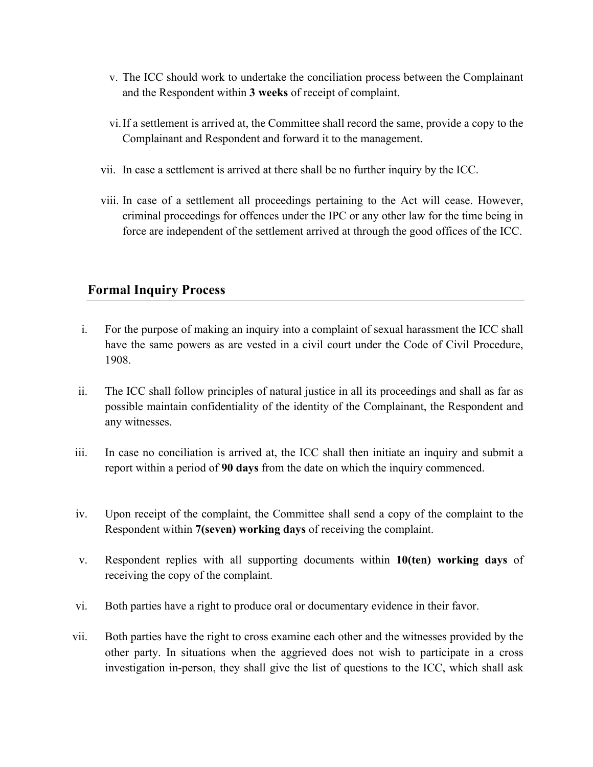- v. The ICC should work to undertake the conciliation process between the Complainant and the Respondent within **3 weeks** of receipt of complaint.
- vi.If a settlement is arrived at, the Committee shall record the same, provide a copy to the Complainant and Respondent and forward it to the management.
- vii. In case a settlement is arrived at there shall be no further inquiry by the ICC.
- viii. In case of a settlement all proceedings pertaining to the Act will cease. However, criminal proceedings for offences under the IPC or any other law for the time being in force are independent of the settlement arrived at through the good offices of the ICC.

## **Formal Inquiry Process**

- i. For the purpose of making an inquiry into a complaint of sexual harassment the ICC shall have the same powers as are vested in a civil court under the Code of Civil Procedure, 1908.
- ii. The ICC shall follow principles of natural justice in all its proceedings and shall as far as possible maintain confidentiality of the identity of the Complainant, the Respondent and any witnesses.
- iii. In case no conciliation is arrived at, the ICC shall then initiate an inquiry and submit a report within a period of **90 days** from the date on which the inquiry commenced.
- iv. Upon receipt of the complaint, the Committee shall send a copy of the complaint to the Respondent within **7(seven) working days** of receiving the complaint.
- v. Respondent replies with all supporting documents within **10(ten) working days** of receiving the copy of the complaint.
- vi. Both parties have a right to produce oral or documentary evidence in their favor.
- vii. Both parties have the right to cross examine each other and the witnesses provided by the other party. In situations when the aggrieved does not wish to participate in a cross investigation in-person, they shall give the list of questions to the ICC, which shall ask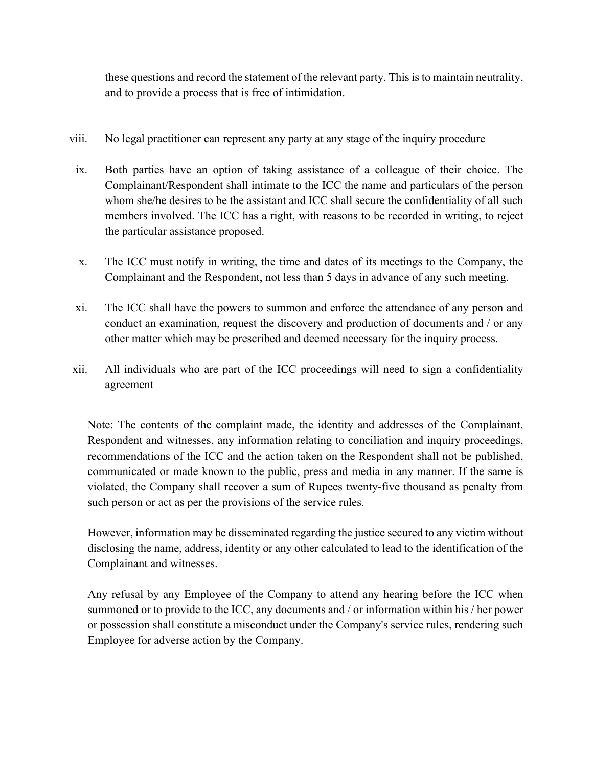these questions and record the statement of the relevant party. This is to maintain neutrality, and to provide a process that is free of intimidation.

- viii. No legal practitioner can represent any party at any stage of the inquiry procedure
- ix. Both parties have an option of taking assistance of a colleague of their choice. The Complainant/Respondent shall intimate to the ICC the name and particulars of the person whom she/he desires to be the assistant and ICC shall secure the confidentiality of all such members involved. The ICC has a right, with reasons to be recorded in writing, to reject the particular assistance proposed.
- x. The ICC must notify in writing, the time and dates of its meetings to the Company, the Complainant and the Respondent, not less than 5 days in advance of any such meeting.
- xi. The ICC shall have the powers to summon and enforce the attendance of any person and conduct an examination, request the discovery and production of documents and / or any other matter which may be prescribed and deemed necessary for the inquiry process.
- xii. All individuals who are part of the ICC proceedings will need to sign a confidentiality agreement

Note: The contents of the complaint made, the identity and addresses of the Complainant, Respondent and witnesses, any information relating to conciliation and inquiry proceedings, recommendations of the ICC and the action taken on the Respondent shall not be published, communicated or made known to the public, press and media in any manner. If the same is violated, the Company shall recover a sum of Rupees twenty-five thousand as penalty from such person or act as per the provisions of the service rules.

However, information may be disseminated regarding the justice secured to any victim without disclosing the name, address, identity or any other calculated to lead to the identification of the Complainant and witnesses.

Any refusal by any Employee of the Company to attend any hearing before the ICC when summoned or to provide to the ICC, any documents and / or information within his / her power or possession shall constitute a misconduct under the Company's service rules, rendering such Employee for adverse action by the Company.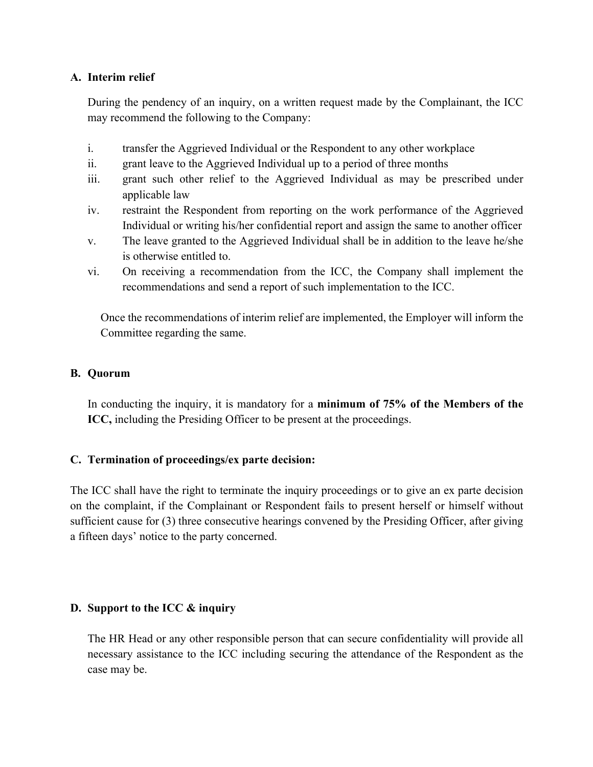#### **A. Interim relief**

During the pendency of an inquiry, on a written request made by the Complainant, the ICC may recommend the following to the Company:

- i. transfer the Aggrieved Individual or the Respondent to any other workplace
- ii. grant leave to the Aggrieved Individual up to a period of three months
- iii. grant such other relief to the Aggrieved Individual as may be prescribed under applicable law
- iv. restraint the Respondent from reporting on the work performance of the Aggrieved Individual or writing his/her confidential report and assign the same to another officer
- v. The leave granted to the Aggrieved Individual shall be in addition to the leave he/she is otherwise entitled to.
- vi. On receiving a recommendation from the ICC, the Company shall implement the recommendations and send a report of such implementation to the ICC.

Once the recommendations of interim relief are implemented, the Employer will inform the Committee regarding the same.

#### **B. Quorum**

In conducting the inquiry, it is mandatory for a **minimum of 75% of the Members of the ICC,** including the Presiding Officer to be present at the proceedings.

#### **C. Termination of proceedings/ex parte decision:**

The ICC shall have the right to terminate the inquiry proceedings or to give an ex parte decision on the complaint, if the Complainant or Respondent fails to present herself or himself without sufficient cause for (3) three consecutive hearings convened by the Presiding Officer, after giving a fifteen days' notice to the party concerned.

#### **D. Support to the ICC & inquiry**

The HR Head or any other responsible person that can secure confidentiality will provide all necessary assistance to the ICC including securing the attendance of the Respondent as the case may be.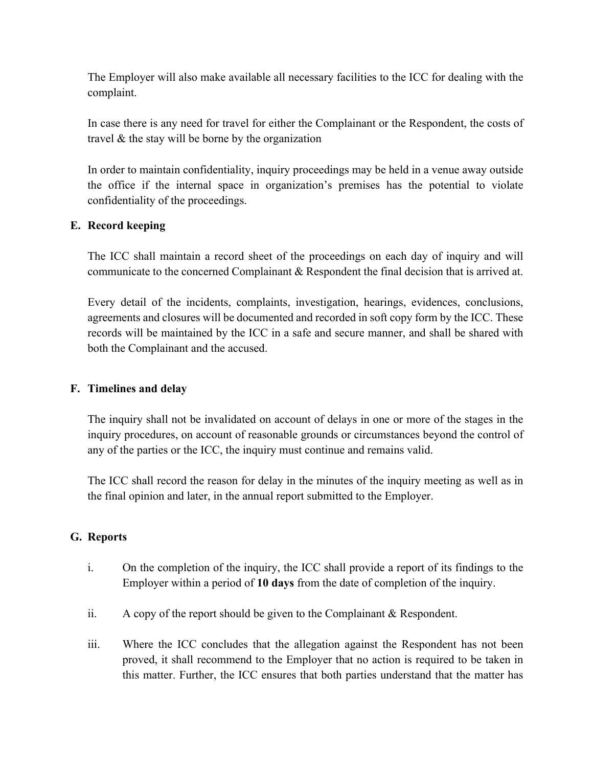The Employer will also make available all necessary facilities to the ICC for dealing with the complaint.

In case there is any need for travel for either the Complainant or the Respondent, the costs of travel & the stay will be borne by the organization

In order to maintain confidentiality, inquiry proceedings may be held in a venue away outside the office if the internal space in organization's premises has the potential to violate confidentiality of the proceedings.

#### **E. Record keeping**

The ICC shall maintain a record sheet of the proceedings on each day of inquiry and will communicate to the concerned Complainant & Respondent the final decision that is arrived at.

Every detail of the incidents, complaints, investigation, hearings, evidences, conclusions, agreements and closures will be documented and recorded in soft copy form by the ICC. These records will be maintained by the ICC in a safe and secure manner, and shall be shared with both the Complainant and the accused.

#### **F. Timelines and delay**

The inquiry shall not be invalidated on account of delays in one or more of the stages in the inquiry procedures, on account of reasonable grounds or circumstances beyond the control of any of the parties or the ICC, the inquiry must continue and remains valid.

The ICC shall record the reason for delay in the minutes of the inquiry meeting as well as in the final opinion and later, in the annual report submitted to the Employer.

#### **G. Reports**

- i. On the completion of the inquiry, the ICC shall provide a report of its findings to the Employer within a period of **10 days** from the date of completion of the inquiry.
- ii. A copy of the report should be given to the Complainant & Respondent.
- iii. Where the ICC concludes that the allegation against the Respondent has not been proved, it shall recommend to the Employer that no action is required to be taken in this matter. Further, the ICC ensures that both parties understand that the matter has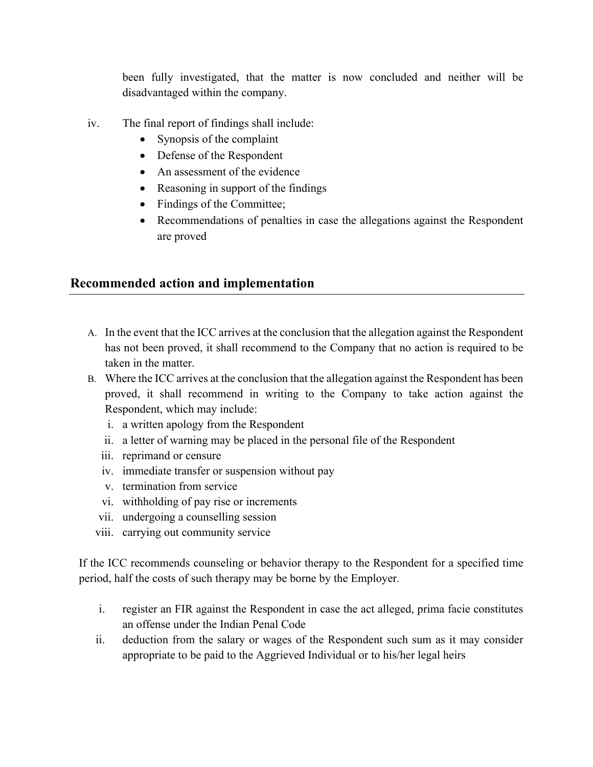been fully investigated, that the matter is now concluded and neither will be disadvantaged within the company.

- iv. The final report of findings shall include:
	- Synopsis of the complaint
	- Defense of the Respondent
	- An assessment of the evidence
	- Reasoning in support of the findings
	- Findings of the Committee;
	- Recommendations of penalties in case the allegations against the Respondent are proved

### **Recommended action and implementation**

- A. In the event that the ICC arrives at the conclusion that the allegation against the Respondent has not been proved, it shall recommend to the Company that no action is required to be taken in the matter.
- B. Where the ICC arrives at the conclusion that the allegation against the Respondent has been proved, it shall recommend in writing to the Company to take action against the Respondent, which may include:
	- i. a written apology from the Respondent
	- ii. a letter of warning may be placed in the personal file of the Respondent
	- iii. reprimand or censure
	- iv. immediate transfer or suspension without pay
	- v. termination from service
	- vi. withholding of pay rise or increments
	- vii. undergoing a counselling session
	- viii. carrying out community service

If the ICC recommends counseling or behavior therapy to the Respondent for a specified time period, half the costs of such therapy may be borne by the Employer.

- i. register an FIR against the Respondent in case the act alleged, prima facie constitutes an offense under the Indian Penal Code
- ii. deduction from the salary or wages of the Respondent such sum as it may consider appropriate to be paid to the Aggrieved Individual or to his/her legal heirs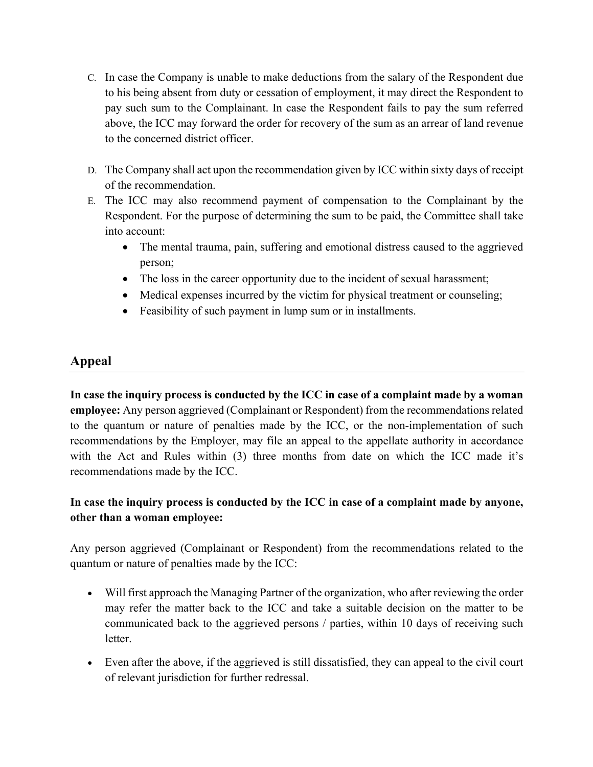- C. In case the Company is unable to make deductions from the salary of the Respondent due to his being absent from duty or cessation of employment, it may direct the Respondent to pay such sum to the Complainant. In case the Respondent fails to pay the sum referred above, the ICC may forward the order for recovery of the sum as an arrear of land revenue to the concerned district officer.
- D. The Company shall act upon the recommendation given by ICC within sixty days of receipt of the recommendation.
- E. The ICC may also recommend payment of compensation to the Complainant by the Respondent. For the purpose of determining the sum to be paid, the Committee shall take into account:
	- The mental trauma, pain, suffering and emotional distress caused to the aggrieved person;
	- The loss in the career opportunity due to the incident of sexual harassment;
	- Medical expenses incurred by the victim for physical treatment or counseling;
	- Feasibility of such payment in lump sum or in installments.

# **Appeal**

**In case the inquiry process is conducted by the ICC in case of a complaint made by a woman employee:** Any person aggrieved (Complainant or Respondent) from the recommendations related to the quantum or nature of penalties made by the ICC, or the non-implementation of such recommendations by the Employer, may file an appeal to the appellate authority in accordance with the Act and Rules within (3) three months from date on which the ICC made it's recommendations made by the ICC.

## **In case the inquiry process is conducted by the ICC in case of a complaint made by anyone, other than a woman employee:**

Any person aggrieved (Complainant or Respondent) from the recommendations related to the quantum or nature of penalties made by the ICC:

- Will first approach the Managing Partner of the organization, who after reviewing the order may refer the matter back to the ICC and take a suitable decision on the matter to be communicated back to the aggrieved persons / parties, within 10 days of receiving such letter.
- Even after the above, if the aggrieved is still dissatisfied, they can appeal to the civil court of relevant jurisdiction for further redressal.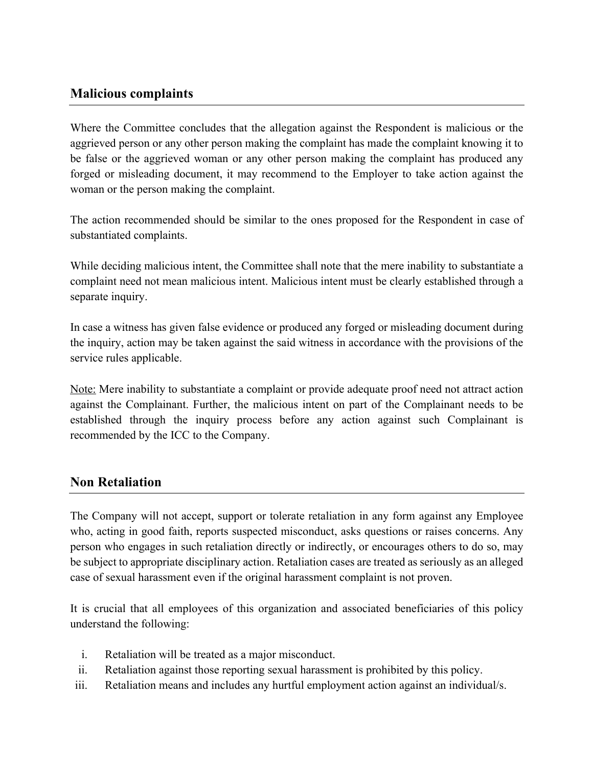## **Malicious complaints**

Where the Committee concludes that the allegation against the Respondent is malicious or the aggrieved person or any other person making the complaint has made the complaint knowing it to be false or the aggrieved woman or any other person making the complaint has produced any forged or misleading document, it may recommend to the Employer to take action against the woman or the person making the complaint.

The action recommended should be similar to the ones proposed for the Respondent in case of substantiated complaints.

While deciding malicious intent, the Committee shall note that the mere inability to substantiate a complaint need not mean malicious intent. Malicious intent must be clearly established through a separate inquiry.

In case a witness has given false evidence or produced any forged or misleading document during the inquiry, action may be taken against the said witness in accordance with the provisions of the service rules applicable.

Note: Mere inability to substantiate a complaint or provide adequate proof need not attract action against the Complainant. Further, the malicious intent on part of the Complainant needs to be established through the inquiry process before any action against such Complainant is recommended by the ICC to the Company.

### **Non Retaliation**

The Company will not accept, support or tolerate retaliation in any form against any Employee who, acting in good faith, reports suspected misconduct, asks questions or raises concerns. Any person who engages in such retaliation directly or indirectly, or encourages others to do so, may be subject to appropriate disciplinary action. Retaliation cases are treated as seriously as an alleged case of sexual harassment even if the original harassment complaint is not proven.

It is crucial that all employees of this organization and associated beneficiaries of this policy understand the following:

- i. Retaliation will be treated as a major misconduct.
- ii. Retaliation against those reporting sexual harassment is prohibited by this policy.
- iii. Retaliation means and includes any hurtful employment action against an individual/s.